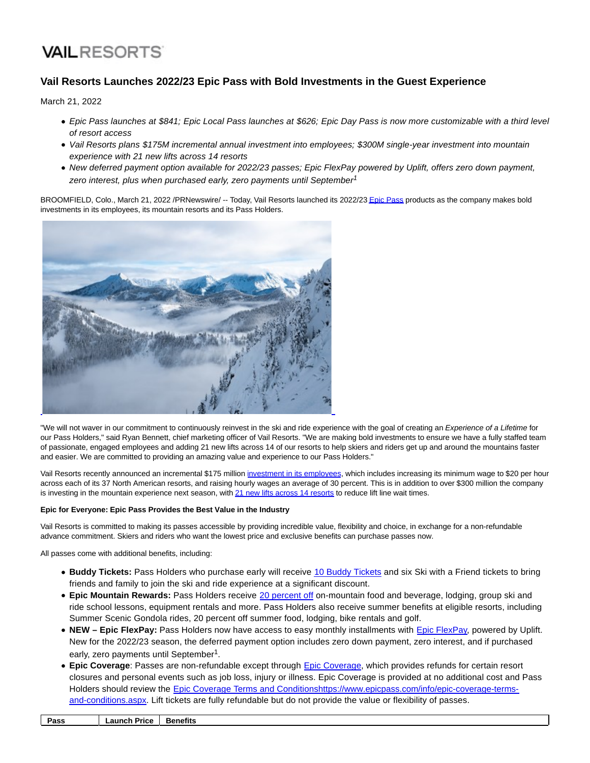# **VAILRESORTS**

# **Vail Resorts Launches 2022/23 Epic Pass with Bold Investments in the Guest Experience**

March 21, 2022

- Epic Pass launches at \$841; Epic Local Pass launches at \$626; Epic Day Pass is now more customizable with a third level of resort access
- Vail Resorts plans \$175M incremental annual investment into employees; \$300M single-year investment into mountain experience with 21 new lifts across 14 resorts
- New deferred payment option available for 2022/23 passes; Epic FlexPay powered by Uplift, offers zero down payment, zero interest, plus when purchased early, zero payments until September<sup>1</sup>

BROOMFIELD, Colo., March 21, 2022 /PRNewswire/ -- Today, Vail Resorts launched its 2022/2[3 Epic Pass p](https://c212.net/c/link/?t=0&l=en&o=3478740-1&h=1639939307&u=https%3A%2F%2Fwww.epicpass.com%2F&a=Epic+Pass)roducts as the company makes bold investments in its employees, its mountain resorts and its Pass Holders.



"We will not waver in our commitment to continuously reinvest in the ski and ride experience with the goal of creating an Experience of a Lifetime for our Pass Holders," said Ryan Bennett, chief marketing officer of Vail Resorts. "We are making bold investments to ensure we have a fully staffed team of passionate, engaged employees and adding 21 new lifts across 14 of our resorts to help skiers and riders get up and around the mountains faster and easier. We are committed to providing an amazing value and experience to our Pass Holders."

Vail Resorts recently announced an incremental \$175 million [investment in its employees,](https://c212.net/c/link/?t=0&l=en&o=3478740-1&h=3373114735&u=https%3A%2F%2Fnews.vailresorts.com%2Fcorporate%2Fletter-to-employees-new-direction.htm&a=investment+in+its+employees) which includes increasing its minimum wage to \$20 per hour across each of its 37 North American resorts, and raising hourly wages an average of 30 percent. This is in addition to over \$300 million the company is investing in the mountain experience next season, wit[h 21 new lifts across 14 resorts t](https://c212.net/c/link/?t=0&l=en&o=3478740-1&h=1319564625&u=https%3A%2F%2Fwww.epicpass.com%2Fregion%2Fepic-lift-upgrades.aspx&a=21+new+lifts+across+14+resorts)o reduce lift line wait times.

# **Epic for Everyone: Epic Pass Provides the Best Value in the Industry**

Vail Resorts is committed to making its passes accessible by providing incredible value, flexibility and choice, in exchange for a non-refundable advance commitment. Skiers and riders who want the lowest price and exclusive benefits can purchase passes now.

All passes come with additional benefits, including:

- **Buddy Tickets:** Pass Holders who purchase early will receive [10 Buddy Tickets a](https://c212.net/c/link/?t=0&l=en&o=3478740-1&h=2069793584&u=https%3A%2F%2Fwww.epicpass.com%2Fbenefits%2Fswaf.aspx&a=10+Buddy+Tickets)nd six Ski with a Friend tickets to bring friends and family to join the ski and ride experience at a significant discount.
- **Epic Mountain Rewards:** Pass Holders receive [20 percent off o](https://c212.net/c/link/?t=0&l=en&o=3478740-1&h=350139496&u=https%3A%2F%2Fwww.epicpass.com%2Fbenefits%2Fepic-mountain-rewards.aspx&a=20+percent+off)n-mountain food and beverage, lodging, group ski and ride school lessons, equipment rentals and more. Pass Holders also receive summer benefits at eligible resorts, including Summer Scenic Gondola rides, 20 percent off summer food, lodging, bike rentals and golf.
- **NEW Epic FlexPay:** Pass Holders now have access to easy monthly installments with [Epic FlexPay,](https://c212.net/c/link/?t=0&l=en&o=3478740-1&h=2284168296&u=https%3A%2F%2Fwww.epicpass.com%2Finfo%2Fepic-flexpay.aspx&a=Epic+FlexPay) powered by Uplift. New for the 2022/23 season, the deferred payment option includes zero down payment, zero interest, and if purchased early, zero payments until September<sup>1</sup>.
- **Epic Coverage**: Passes are non-refundable except through [Epic Coverage,](https://c212.net/c/link/?t=0&l=en&o=3478740-1&h=1846106434&u=https%3A%2F%2Fwww.epicpass.com%2Finfo%2Fepic-coverage.aspx&a=Epic+Coverage) which provides refunds for certain resort closures and personal events such as job loss, injury or illness. Epic Coverage is provided at no additional cost and Pass Holders should review the [Epic Coverage Terms and Conditions](https://c212.net/c/link/?t=0&l=en&o=3478740-1&h=437458233&u=https%3A%2F%2Fwww.epicpass.com%2Finfo%2Fepic-coverage-terms-and-conditions.aspx&a=Epic+Coverage+Terms+and+Conditions)[https://www.epicpass.com/info/epic-coverage-terms](https://c212.net/c/link/?t=0&l=en&o=3478740-1&h=1170126720&u=https%3A%2F%2Fwww.epicpass.com%2Finfo%2Fepic-coverage-terms-and-conditions.aspx&a=https%3A%2F%2Fwww.epicpass.com%2Finfo%2Fepic-coverage-terms-and-conditions.aspx)and-conditions.aspx. Lift tickets are fully refundable but do not provide the value or flexibility of passes.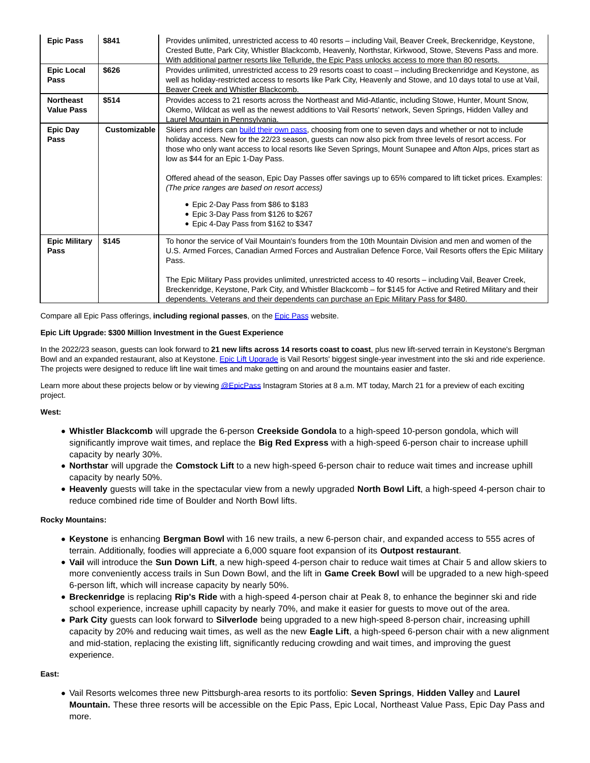| <b>Epic Pass</b>                      | \$841        | Provides unlimited, unrestricted access to 40 resorts – including Vail, Beaver Creek, Breckenridge, Keystone,<br>Crested Butte, Park City, Whistler Blackcomb, Heavenly, Northstar, Kirkwood, Stowe, Stevens Pass and more.<br>With additional partner resorts like Telluride, the Epic Pass unlocks access to more than 80 resorts.                                                                                                                                                                                                                                                                                                                                         |
|---------------------------------------|--------------|------------------------------------------------------------------------------------------------------------------------------------------------------------------------------------------------------------------------------------------------------------------------------------------------------------------------------------------------------------------------------------------------------------------------------------------------------------------------------------------------------------------------------------------------------------------------------------------------------------------------------------------------------------------------------|
| <b>Epic Local</b><br>Pass             | \$626        | Provides unlimited, unrestricted access to 29 resorts coast to coast – including Breckenridge and Keystone, as<br>well as holiday-restricted access to resorts like Park City, Heavenly and Stowe, and 10 days total to use at Vail,<br>Beaver Creek and Whistler Blackcomb.                                                                                                                                                                                                                                                                                                                                                                                                 |
| <b>Northeast</b><br><b>Value Pass</b> | \$514        | Provides access to 21 resorts across the Northeast and Mid-Atlantic, including Stowe, Hunter, Mount Snow,<br>Okemo, Wildcat as well as the newest additions to Vail Resorts' network, Seven Springs, Hidden Valley and<br>Laurel Mountain in Pennsvlvania.                                                                                                                                                                                                                                                                                                                                                                                                                   |
| <b>Epic Day</b><br>Pass               | Customizable | Skiers and riders can build their own pass, choosing from one to seven days and whether or not to include<br>holiday access. New for the 22/23 season, guests can now also pick from three levels of resort access. For<br>those who only want access to local resorts like Seven Springs, Mount Sunapee and Afton Alps, prices start as<br>low as \$44 for an Epic 1-Day Pass.<br>Offered ahead of the season, Epic Day Passes offer savings up to 65% compared to lift ticket prices. Examples:<br>(The price ranges are based on resort access)<br>• Epic 2-Day Pass from \$86 to \$183<br>• Epic 3-Day Pass from \$126 to \$267<br>• Epic 4-Day Pass from \$162 to \$347 |
| <b>Epic Military</b><br>Pass          | \$145        | To honor the service of Vail Mountain's founders from the 10th Mountain Division and men and women of the<br>U.S. Armed Forces, Canadian Armed Forces and Australian Defence Force, Vail Resorts offers the Epic Military<br>Pass.<br>The Epic Military Pass provides unlimited, unrestricted access to 40 resorts – including Vail, Beaver Creek,<br>Breckenridge, Keystone, Park City, and Whistler Blackcomb – for \$145 for Active and Retired Military and their<br>dependents. Veterans and their dependents can purchase an Epic Military Pass for \$480.                                                                                                             |

Compare all Epic Pass offerings, **including regional passes**, on th[e Epic Pass w](https://c212.net/c/link/?t=0&l=en&o=3478740-1&h=90170362&u=https%3A%2F%2Fwww.epicpass.com%2Fpass-results%2Fpasses.aspx&a=Epic+Pass)ebsite.

# **Epic Lift Upgrade: \$300 Million Investment in the Guest Experience**

In the 2022/23 season, guests can look forward to **21 new lifts across 14 resorts coast to coast**, plus new lift-served terrain in Keystone's Bergman Bowl and an expanded restaurant, also at Keystone. [Epic Lift Upgrade i](https://c212.net/c/link/?t=0&l=en&o=3478740-1&h=1755984049&u=https%3A%2F%2Fwww.epicpass.com%2Fregion%2Fepic-lift-upgrades.aspx&a=Epic+Lift+Upgrade)s Vail Resorts' biggest single-year investment into the ski and ride experience. The projects were designed to reduce lift line wait times and make getting on and around the mountains easier and faster.

Learn more about these projects below or by viewin[g @EpicPass I](https://c212.net/c/link/?t=0&l=en&o=3478740-1&h=3433875697&u=https%3A%2F%2Fwww.instagram.com%2Fepicpass%2F&a=%40EpicPass)nstagram Stories at 8 a.m. MT today, March 21 for a preview of each exciting project.

# **West:**

- **Whistler Blackcomb** will upgrade the 6-person **Creekside Gondola** to a high-speed 10-person gondola, which will significantly improve wait times, and replace the **Big Red Express** with a high-speed 6-person chair to increase uphill capacity by nearly 30%.
- **Northstar** will upgrade the **Comstock Lift** to a new high-speed 6-person chair to reduce wait times and increase uphill capacity by nearly 50%.
- **Heavenly** guests will take in the spectacular view from a newly upgraded **North Bowl Lift**, a high-speed 4-person chair to reduce combined ride time of Boulder and North Bowl lifts.

# **Rocky Mountains:**

- **Keystone** is enhancing **Bergman Bowl** with 16 new trails, a new 6-person chair, and expanded access to 555 acres of terrain. Additionally, foodies will appreciate a 6,000 square foot expansion of its **Outpost restaurant**.
- **Vail** will introduce the **Sun Down Lift**, a new high-speed 4-person chair to reduce wait times at Chair 5 and allow skiers to more conveniently access trails in Sun Down Bowl, and the lift in **Game Creek Bowl** will be upgraded to a new high-speed 6-person lift, which will increase capacity by nearly 50%.
- **Breckenridge** is replacing **Rip's Ride** with a high-speed 4-person chair at Peak 8, to enhance the beginner ski and ride school experience, increase uphill capacity by nearly 70%, and make it easier for guests to move out of the area.
- **Park City** guests can look forward to **Silverlode** being upgraded to a new high-speed 8-person chair, increasing uphill capacity by 20% and reducing wait times, as well as the new **Eagle Lift**, a high-speed 6-person chair with a new alignment and mid-station, replacing the existing lift, significantly reducing crowding and wait times, and improving the guest experience.

# **East:**

Vail Resorts welcomes three new Pittsburgh-area resorts to its portfolio: **Seven Springs**, **Hidden Valley** and **Laurel Mountain.** These three resorts will be accessible on the Epic Pass, Epic Local, Northeast Value Pass, Epic Day Pass and more.